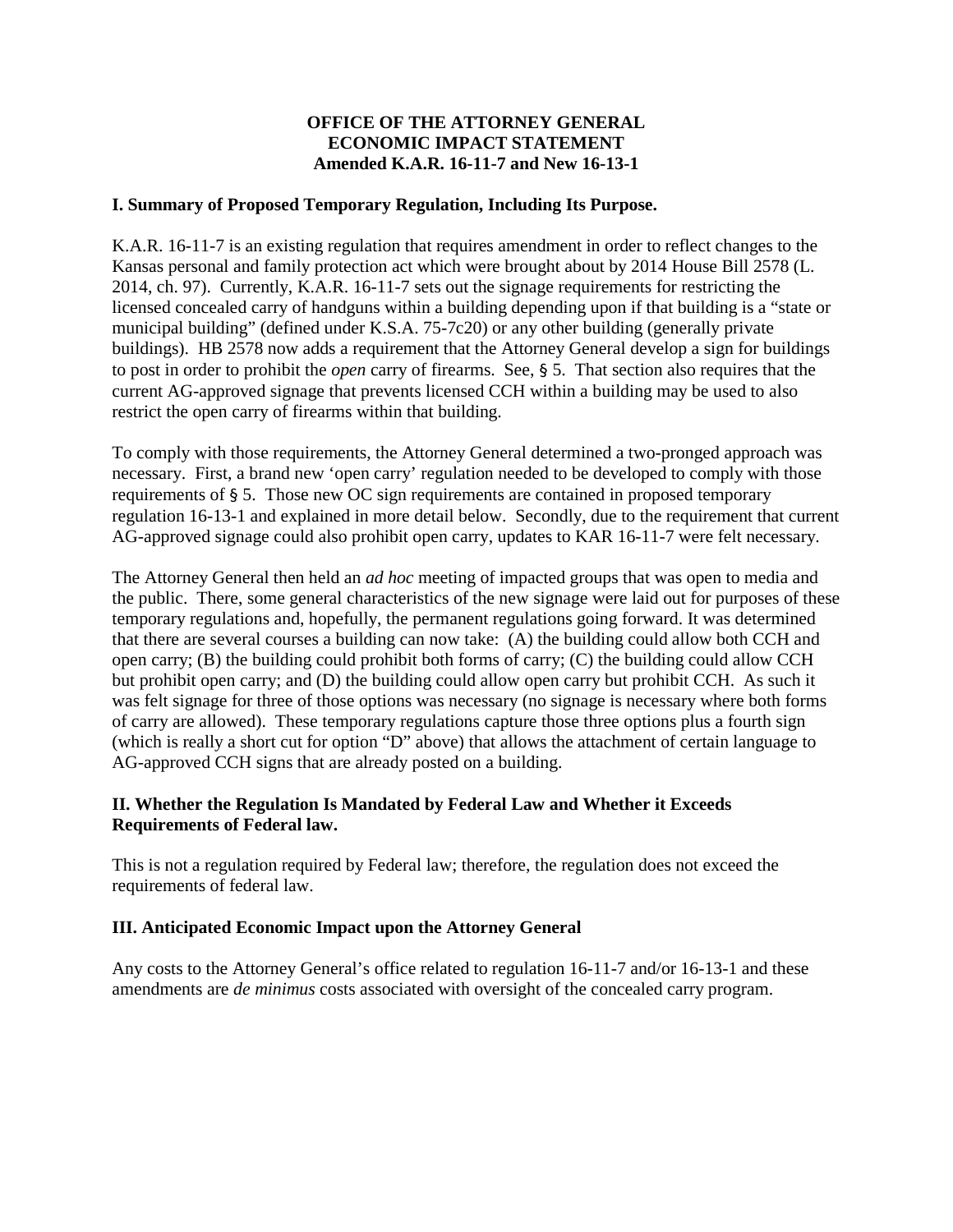## **OFFICE OF THE ATTORNEY GENERAL ECONOMIC IMPACT STATEMENT Amended K.A.R. 16-11-7 and New 16-13-1**

#### **I. Summary of Proposed Temporary Regulation, Including Its Purpose.**

K.A.R. 16-11-7 is an existing regulation that requires amendment in order to reflect changes to the Kansas personal and family protection act which were brought about by 2014 House Bill 2578 (L. 2014, ch. 97). Currently, K.A.R. 16-11-7 sets out the signage requirements for restricting the licensed concealed carry of handguns within a building depending upon if that building is a "state or municipal building" (defined under K.S.A. 75-7c20) or any other building (generally private buildings). HB 2578 now adds a requirement that the Attorney General develop a sign for buildings to post in order to prohibit the *open* carry of firearms. See, § 5. That section also requires that the current AG-approved signage that prevents licensed CCH within a building may be used to also restrict the open carry of firearms within that building.

To comply with those requirements, the Attorney General determined a two-pronged approach was necessary. First, a brand new 'open carry' regulation needed to be developed to comply with those requirements of § 5. Those new OC sign requirements are contained in proposed temporary regulation 16-13-1 and explained in more detail below. Secondly, due to the requirement that current AG-approved signage could also prohibit open carry, updates to KAR 16-11-7 were felt necessary.

The Attorney General then held an *ad hoc* meeting of impacted groups that was open to media and the public. There, some general characteristics of the new signage were laid out for purposes of these temporary regulations and, hopefully, the permanent regulations going forward. It was determined that there are several courses a building can now take: (A) the building could allow both CCH and open carry; (B) the building could prohibit both forms of carry; (C) the building could allow CCH but prohibit open carry; and (D) the building could allow open carry but prohibit CCH. As such it was felt signage for three of those options was necessary (no signage is necessary where both forms of carry are allowed). These temporary regulations capture those three options plus a fourth sign (which is really a short cut for option "D" above) that allows the attachment of certain language to AG-approved CCH signs that are already posted on a building.

### **II. Whether the Regulation Is Mandated by Federal Law and Whether it Exceeds Requirements of Federal law.**

This is not a regulation required by Federal law; therefore, the regulation does not exceed the requirements of federal law.

### **III. Anticipated Economic Impact upon the Attorney General**

Any costs to the Attorney General's office related to regulation 16-11-7 and/or 16-13-1 and these amendments are *de minimus* costs associated with oversight of the concealed carry program.